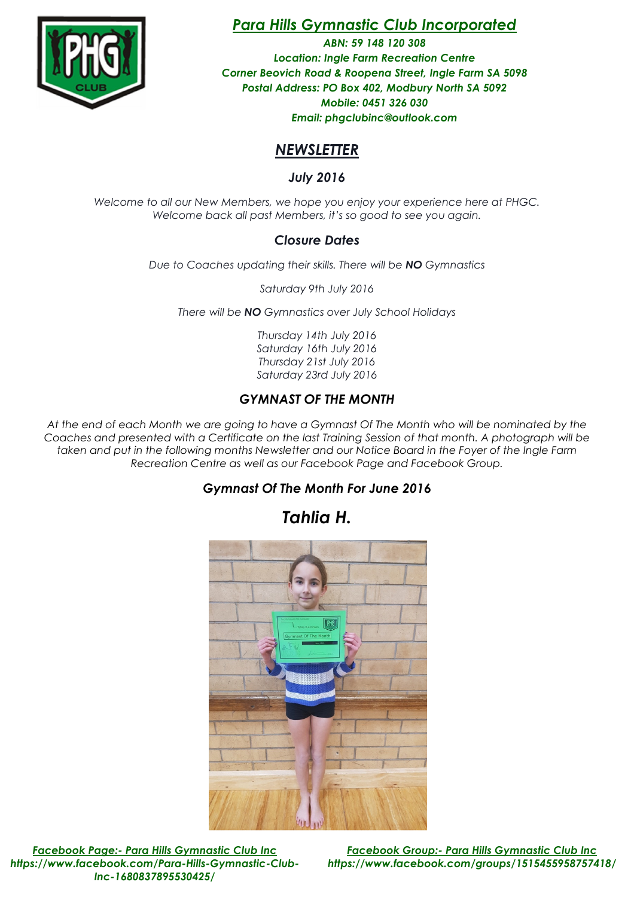

# Para Hills Gymnastic Club Incorporated

ABN: 59 148 120 308 Location: Ingle Farm Recreation Centre Corner Beovich Road & Roopena Street, Ingle Farm SA 5098 Postal Address: PO Box 402, Modbury North SA 5092 Mobile: 0451 326 030 Email: phgclubinc@outlook.com

## **NEWSLETTER**

July 2016

Welcome to all our New Members, we hope you enjoy your experience here at PHGC. Welcome back all past Members, it's so good to see you again.

### Closure Dates

Due to Coaches updating their skills. There will be NO Gymnastics

Saturday 9th July 2016

There will be **NO** Gymnastics over July School Holidays

Thursday 14th July 2016 Saturday 16th July 2016 Thursday 21st July 2016 Saturday 23rd July 2016

## GYMNAST OF THE MONTH

At the end of each Month we are going to have a Gymnast Of The Month who will be nominated by the Coaches and presented with a Certificate on the last Training Session of that month. A photograph will be taken and put in the following months Newsletter and our Notice Board in the Foyer of the Ingle Farm Recreation Centre as well as our Facebook Page and Facebook Group.

## Gymnast Of The Month For June 2016

Tahlia H.



Facebook Page:- Para Hills Gymnastic Club Inc Facebook Group:- Para Hills Gymnastic Club Inc https://www.facebook.com/Para-Hills-Gymnastic-Club-Inc-1680837895530425/

https://www.facebook.com/groups/1515455958757418/